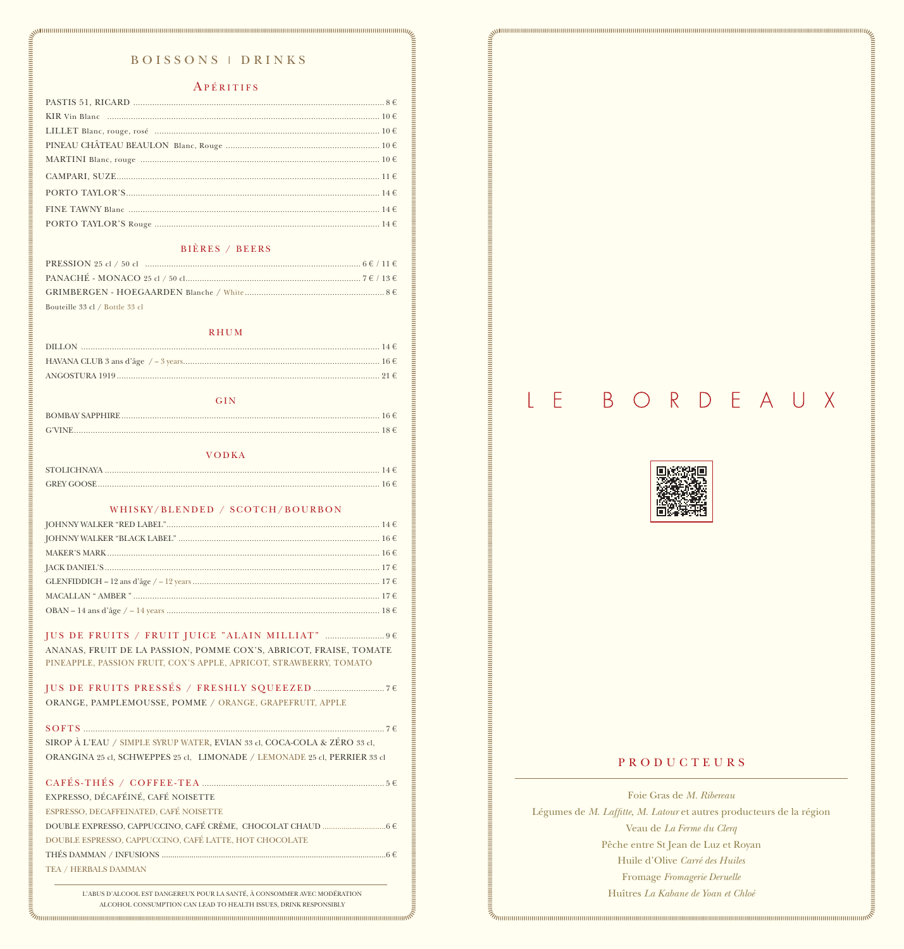| Bouteille 33 cl / Bottle 33 cl |
|--------------------------------|

| $RSTIS 51, RICARD 1000, 1010, 1020, 1030, 1040, 1050, 1060, 1070, 1080, 1090, 1090, 1090, 1090, 1090, 1090, 1090, 1090, 1090, 1090, 1090, 1090, 1090, 1090, 1090, 1090, 1090, 1090, 1090, 1090, 1090, 1090, 1090, 1090, 1090, 1090,$                                                                                                                                                                                                                                                           |
|------------------------------------------------------------------------------------------------------------------------------------------------------------------------------------------------------------------------------------------------------------------------------------------------------------------------------------------------------------------------------------------------------------------------------------------------------------------------------------------------|
|                                                                                                                                                                                                                                                                                                                                                                                                                                                                                                |
|                                                                                                                                                                                                                                                                                                                                                                                                                                                                                                |
|                                                                                                                                                                                                                                                                                                                                                                                                                                                                                                |
|                                                                                                                                                                                                                                                                                                                                                                                                                                                                                                |
|                                                                                                                                                                                                                                                                                                                                                                                                                                                                                                |
|                                                                                                                                                                                                                                                                                                                                                                                                                                                                                                |
|                                                                                                                                                                                                                                                                                                                                                                                                                                                                                                |
|                                                                                                                                                                                                                                                                                                                                                                                                                                                                                                |
|                                                                                                                                                                                                                                                                                                                                                                                                                                                                                                |
|                                                                                                                                                                                                                                                                                                                                                                                                                                                                                                |
|                                                                                                                                                                                                                                                                                                                                                                                                                                                                                                |
|                                                                                                                                                                                                                                                                                                                                                                                                                                                                                                |
|                                                                                                                                                                                                                                                                                                                                                                                                                                                                                                |
|                                                                                                                                                                                                                                                                                                                                                                                                                                                                                                |
|                                                                                                                                                                                                                                                                                                                                                                                                                                                                                                |
|                                                                                                                                                                                                                                                                                                                                                                                                                                                                                                |
|                                                                                                                                                                                                                                                                                                                                                                                                                                                                                                |
|                                                                                                                                                                                                                                                                                                                                                                                                                                                                                                |
|                                                                                                                                                                                                                                                                                                                                                                                                                                                                                                |
| GIN                                                                                                                                                                                                                                                                                                                                                                                                                                                                                            |
|                                                                                                                                                                                                                                                                                                                                                                                                                                                                                                |
|                                                                                                                                                                                                                                                                                                                                                                                                                                                                                                |
| <b>VODKA</b>                                                                                                                                                                                                                                                                                                                                                                                                                                                                                   |
|                                                                                                                                                                                                                                                                                                                                                                                                                                                                                                |
|                                                                                                                                                                                                                                                                                                                                                                                                                                                                                                |
|                                                                                                                                                                                                                                                                                                                                                                                                                                                                                                |
| WHISKY/BLENDED / SCOTCH/BOURBON                                                                                                                                                                                                                                                                                                                                                                                                                                                                |
|                                                                                                                                                                                                                                                                                                                                                                                                                                                                                                |
|                                                                                                                                                                                                                                                                                                                                                                                                                                                                                                |
|                                                                                                                                                                                                                                                                                                                                                                                                                                                                                                |
|                                                                                                                                                                                                                                                                                                                                                                                                                                                                                                |
| $\text{MACALLAN ``AMBER''}. \label{eq:MACALLAN} \text{MACALLAN ``AMBER''}. \text{\textbf{17}} \in \text{17} \times \text{18} \times \text{19} \times \text{19} \times \text{10} \times \text{11} \times \text{14} \times \text{15} \times \text{16} \times \text{17} \times \text{17} \times \text{17} \times \text{18} \times \text{19} \times \text{19} \times \text{19} \times \text{19} \times \text{19} \times \text{19} \times \text{19} \times \text{19} \times \text{19} \times \text$ |
| OBAN – 14 ans d'âge / – 14 years …………………………………………………………………………………… $18 \in$                                                                                                                                                                                                                                                                                                                                                                                                                     |
|                                                                                                                                                                                                                                                                                                                                                                                                                                                                                                |
|                                                                                                                                                                                                                                                                                                                                                                                                                                                                                                |
| ANANAS, FRUIT DE LA PASSION, POMME COX'S, ABRICOT, FRAISE, TOMATE                                                                                                                                                                                                                                                                                                                                                                                                                              |
| PINEAPPLE, PASSION FRUIT, COX'S APPLE, APRICOT, STRAWBERRY, TOMATO                                                                                                                                                                                                                                                                                                                                                                                                                             |

|                                                                                  | Е | $\overline{B}$ | $\bigcirc$ |                           | RDEA |  | U X |                 |
|----------------------------------------------------------------------------------|---|----------------|------------|---------------------------|------|--|-----|-----------------|
| ,我们就是我们的,我们就是我们的,我们就是我们的,我们就是我们的,我们就是我们的,我们就是我们的,我们就是我们的,我们就是我们的,我们就是我们的,我们就是我们的 |   |                |            | は数値<br>結構<br>网络圣台<br>以下圣台 |      |  |     | <b>Contract</b> |

目

i<br>III<br>III

SIROP À L'EAU / SIMPLE SYRUP WATER, EVIAN 33 cl, COCA-COLA & ZÉRO 33 cl, ORANGINA 25 cl, SCHWEPPES 25 cl, LIMONADE / LEMONADE 25 cl, PERRIER 33 cl EXPRESSO, DÉCAFÉINÉ, CAFÉ NOISETTE ESPRESSO, DECAFFEINATED, CAFÉ NOISETTE DOUBLE ESPRESSO, CAPPUCCINO, CAFÉ LATTE, HOT CHOCOLATE  $\mathrm{TEA}$  /  $\mathrm{HERBALS}$  DAMMAN L'ABUS D'ALCOOL EST DANGEREUX POUR LA SANTÉ, À CONSOMMER AVEC MODÉRATION ALCOHOL CONSUMPTION CAN LEAD TO HEALTH ISSUES, DRINK RESPONSIBLY 

## **PRODUCTEURS**

## Foie Gras de M. Ribereau Légumes de M. Laffitte, M. Latour et autres producteurs de la région Veau de La Ferme du Clerq Pêche entre St Jean de Luz et Royan Huile d'Olive Carré des Huiles Fromage Fromagerie Deruelle Huîtres La Kabane de Yoan et Chloé